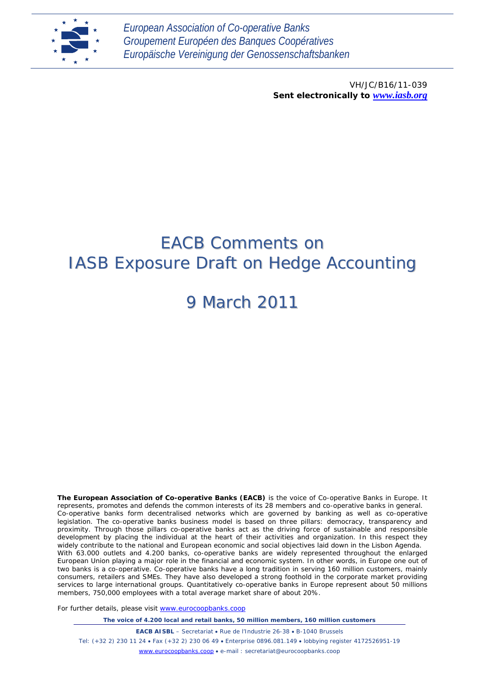

*European Association of Co-operative Banks Groupement Européen des Banques Coopératives Europäische Vereinigung der Genossenschaftsbanken*

> VH/JC/B16/11-039 *Sent electronically to [www.iasb.org](http://www.iasb.org/)*

# EACB Comments on IASB Exposure Draft on Hedge Accounting

# 9 March 2011

**The European Association of Co-operative Banks (EACB)** is the voice of Co-operative Banks in Europe. It represents, promotes and defends the common interests of its 28 members and co-operative banks in general. Co-operative banks form decentralised networks which are governed by banking as well as co-operative legislation. The co-operative banks business model is based on three pillars: democracy, transparency and proximity. Through those pillars co-operative banks act as the driving force of sustainable and responsible development by placing the individual at the heart of their activities and organization. In this respect they widely contribute to the national and European economic and social objectives laid down in the Lisbon Agenda. With 63.000 outlets and 4.200 banks, co-operative banks are widely represented throughout the enlarged European Union playing a major role in the financial and economic system. In other words, in Europe one out of two banks is a co-operative. Co-operative banks have a long tradition in serving 160 million customers, mainly consumers, retailers and SMEs. They have also developed a strong foothold in the corporate market providing services to large international groups. Quantitatively co-operative banks in Europe represent about 50 millions members, 750,000 employees with a total average market share of about 20%.

For further details, please visit [www.eurocoopbanks.coop](http://www.eurocoopbanks.coop/)

*The voice of 4.200 local and retail banks, 50 million members, 160 million customers*

**EACB AISBL** – Secretariat • Rue de l'Industrie 26-38 • B-1040 Brussels Tel: (+32 2) 230 11 24 • Fax (+32 2) 230 06 49 • Enterprise 0896.081.149 • lobbying register 4172526951-19 [www.eurocoopbanks.coop](http://www.eurocoopbanks.coop/) • e-mail : secretariat@eurocoopbanks.coop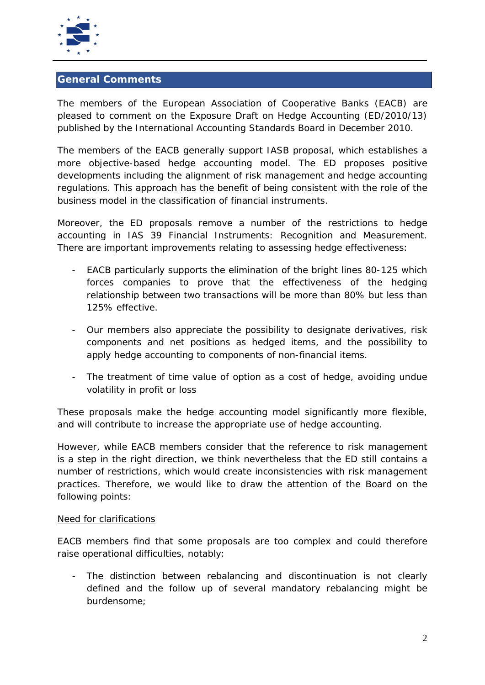

# **General Comments**

The members of the European Association of Cooperative Banks (EACB) are pleased to comment on the Exposure Draft on Hedge Accounting (ED/2010/13) published by the International Accounting Standards Board in December 2010.

The members of the EACB generally support IASB proposal, which establishes a more objective-based hedge accounting model. The ED proposes positive developments including the alignment of risk management and hedge accounting regulations. This approach has the benefit of being consistent with the role of the business model in the classification of financial instruments.

Moreover, the ED proposals remove a number of the restrictions to hedge accounting in IAS 39 Financial Instruments: *Recognition and Measurement*. There are important improvements relating to assessing hedge effectiveness:

- EACB particularly supports the elimination of the bright lines 80-125 which forces companies to prove that the effectiveness of the hedging relationship between two transactions will be more than 80% but less than 125% effective.
- Our members also appreciate the possibility to designate derivatives, risk components and net positions as hedged items, and the possibility to apply hedge accounting to components of non-financial items.
- The treatment of time value of option as a cost of hedge, avoiding undue volatility in profit or loss

These proposals make the hedge accounting model significantly more flexible, and will contribute to increase the appropriate use of hedge accounting.

However, while EACB members consider that the reference to risk management is a step in the right direction, we think nevertheless that the ED still contains a number of restrictions, which would create inconsistencies with risk management practices. Therefore, we would like to draw the attention of the Board on the following points:

#### *Need for clarifications*

EACB members find that some proposals are too complex and could therefore raise operational difficulties, notably:

- The distinction between rebalancing and discontinuation is not clearly defined and the follow up of several mandatory rebalancing might be burdensome;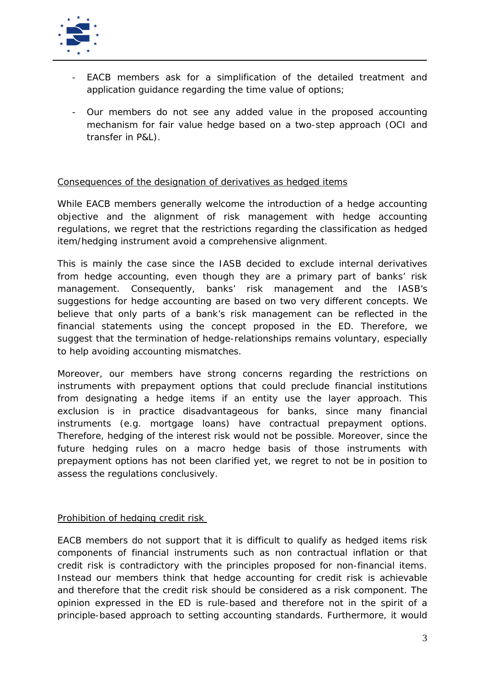

- EACB members ask for a simplification of the detailed treatment and application guidance regarding the time value of options;
- Our members do not see any added value in the proposed accounting mechanism for fair value hedge based on a two-step approach (OCI and transfer in P&L).

## *Consequences of the designation of derivatives as hedged items*

While EACB members generally welcome the introduction of a hedge accounting objective and the alignment of risk management with hedge accounting regulations, we regret that the restrictions regarding the classification as hedged item/hedging instrument avoid a comprehensive alignment.

This is mainly the case since the IASB decided to exclude internal derivatives from hedge accounting, even though they are a primary part of banks' risk management. Consequently, banks' risk management and the IASB's suggestions for hedge accounting are based on two very different concepts. We believe that only parts of a bank's risk management can be reflected in the financial statements using the concept proposed in the ED. Therefore, we suggest that the termination of hedge-relationships remains voluntary, especially to help avoiding accounting mismatches.

Moreover, our members have strong concerns regarding the restrictions on instruments with prepayment options that could preclude financial institutions from designating a hedge items if an entity use the layer approach. This exclusion is in practice disadvantageous for banks, since many financial instruments (e.g. mortgage loans) have contractual prepayment options. Therefore, hedging of the interest risk would not be possible. Moreover, since the future hedging rules on a macro hedge basis of those instruments with prepayment options has not been clarified yet, we regret to not be in position to assess the regulations conclusively.

### *Prohibition of hedging credit risk*

EACB members do not support that it is difficult to qualify as hedged items risk components of financial instruments such as non contractual inflation or that credit risk is contradictory with the principles proposed for non-financial items. Instead our members think that hedge accounting for credit risk is achievable and therefore that the credit risk should be considered as a risk component. The opinion expressed in the ED is rule-based and therefore not in the spirit of a principle-based approach to setting accounting standards. Furthermore, it would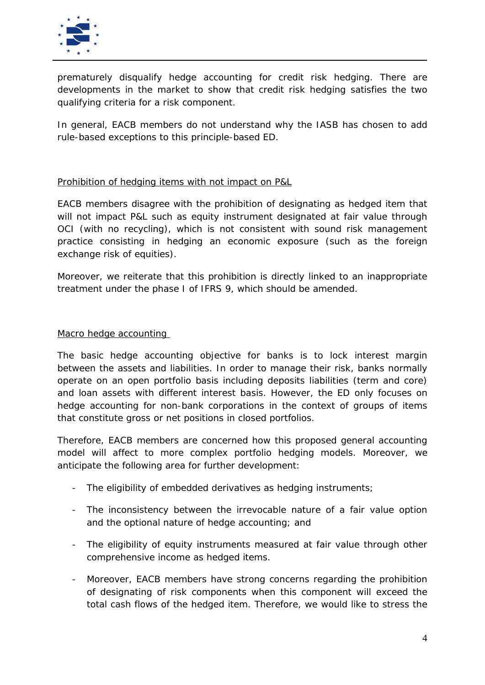

prematurely disqualify hedge accounting for credit risk hedging. There are developments in the market to show that credit risk hedging satisfies the two qualifying criteria for a risk component.

In general, EACB members do not understand why the IASB has chosen to add rule-based exceptions to this principle-based ED.

## *Prohibition of hedging items with not impact on P&L*

EACB members disagree with the prohibition of designating as hedged item that will not impact P&L such as equity instrument designated at fair value through OCI (with no recycling), which is not consistent with sound risk management practice consisting in hedging an economic exposure (such as the foreign exchange risk of equities).

Moreover, we reiterate that this prohibition is directly linked to an inappropriate treatment under the phase I of IFRS 9, which should be amended.

#### *Macro hedge accounting*

The basic hedge accounting objective for banks is to lock interest margin between the assets and liabilities. In order to manage their risk, banks normally operate on an open portfolio basis including deposits liabilities (term and core) and loan assets with different interest basis. However, the ED only focuses on hedge accounting for non-bank corporations in the context of groups of items that constitute gross or net positions in closed portfolios.

Therefore, EACB members are concerned how this proposed general accounting model will affect to more complex portfolio hedging models. Moreover, we anticipate the following area for further development:

- The eligibility of embedded derivatives as hedging instruments;
- The inconsistency between the irrevocable nature of a fair value option and the optional nature of hedge accounting; and
- The eligibility of equity instruments measured at fair value through other comprehensive income as hedged items.
- Moreover, EACB members have strong concerns regarding the prohibition of designating of risk components when this component will exceed the total cash flows of the hedged item. Therefore, we would like to stress the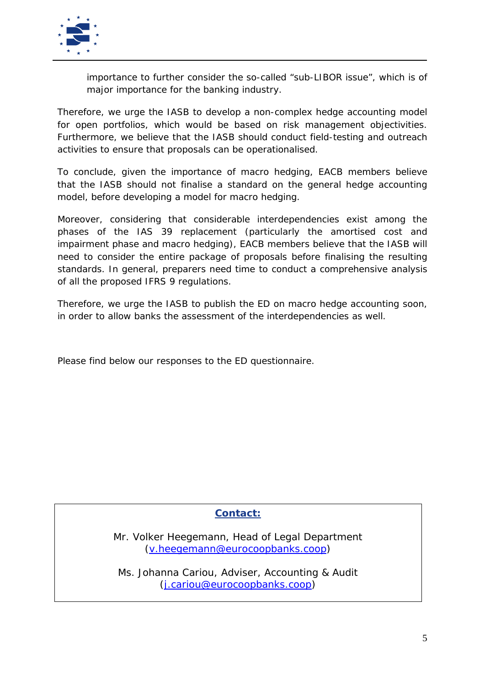

importance to further consider the so-called "sub-LIBOR issue", which is of major importance for the banking industry.

Therefore, we urge the IASB to develop a non-complex hedge accounting model for open portfolios, which would be based on risk management objectivities. Furthermore, we believe that the IASB should conduct field-testing and outreach activities to ensure that proposals can be operationalised.

To conclude, given the importance of macro hedging, EACB members believe that the IASB should not finalise a standard on the general hedge accounting model, before developing a model for macro hedging.

Moreover, considering that considerable interdependencies exist among the phases of the IAS 39 replacement (particularly the amortised cost and impairment phase and macro hedging), EACB members believe that the IASB will need to consider the entire package of proposals before finalising the resulting standards. In general, preparers need time to conduct a comprehensive analysis of all the proposed IFRS 9 regulations.

Therefore, we urge the IASB to publish the ED on macro hedge accounting soon, in order to allow banks the assessment of the interdependencies as well.

Please find below our responses to the ED questionnaire.

# **Contact:**

Mr. Volker Heegemann, Head of Legal Department [\(v.heegemann@eurocoopbanks.coop\)](mailto:v.heegemann@eurocoopbanks.coop)

Ms. Johanna Cariou, Adviser, Accounting & Audit [\(j.cariou@eurocoopbanks.coop\)](mailto:j.cariou@eurocoopbanks.coop)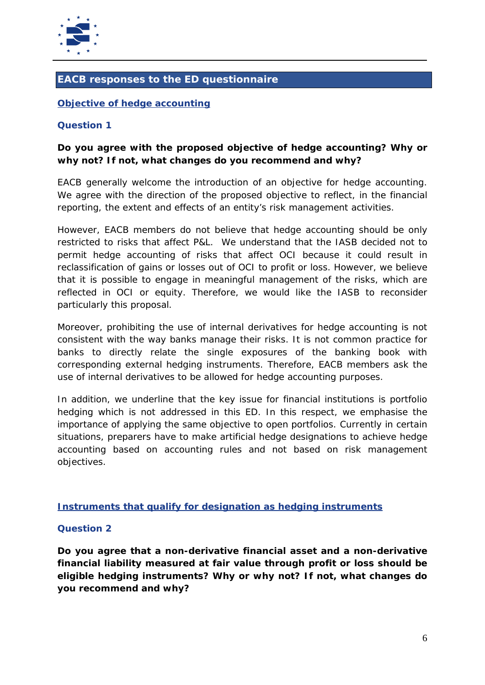

# **EACB responses to the ED questionnaire**

## **Objective of hedge accounting**

#### **Question 1**

# **Do you agree with the proposed objective of hedge accounting? Why or why not? If not, what changes do you recommend and why?**

EACB generally welcome the introduction of an objective for hedge accounting. We agree with the direction of the proposed objective to reflect, in the financial reporting, the extent and effects of an entity's risk management activities.

However, EACB members do not believe that hedge accounting should be only restricted to risks that affect P&L. We understand that the IASB decided not to permit hedge accounting of risks that affect OCI because it could result in reclassification of gains or losses out of OCI to profit or loss. However, we believe that it is possible to engage in meaningful management of the risks, which are reflected in OCI or equity. Therefore, we would like the IASB to reconsider particularly this proposal.

Moreover, prohibiting the use of internal derivatives for hedge accounting is not consistent with the way banks manage their risks. It is not common practice for banks to directly relate the single exposures of the banking book with corresponding external hedging instruments. Therefore, EACB members ask the use of internal derivatives to be allowed for hedge accounting purposes.

In addition, we underline that the key issue for financial institutions is portfolio hedging which is not addressed in this ED. In this respect, we emphasise the importance of applying the same objective to open portfolios. Currently in certain situations, preparers have to make artificial hedge designations to achieve hedge accounting based on accounting rules and not based on risk management objectives.

### **Instruments that qualify for designation as hedging instruments**

### **Question 2**

**Do you agree that a non-derivative financial asset and a non-derivative financial liability measured at fair value through profit or loss should be eligible hedging instruments? Why or why not? If not, what changes do you recommend and why?**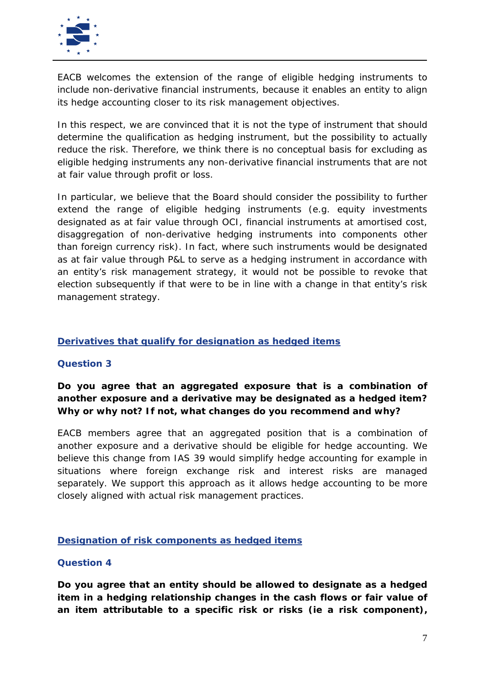

EACB welcomes the extension of the range of eligible hedging instruments to include non-derivative financial instruments, because it enables an entity to align its hedge accounting closer to its risk management objectives.

In this respect, we are convinced that it is not the type of instrument that should determine the qualification as hedging instrument, but the possibility to actually reduce the risk. Therefore, we think there is no conceptual basis for excluding as eligible hedging instruments any non-derivative financial instruments that are not at fair value through profit or loss.

In particular, we believe that the Board should consider the possibility to further extend the range of eligible hedging instruments (e.g. equity investments designated as at fair value through OCI, financial instruments at amortised cost, disaggregation of non-derivative hedging instruments into components other than foreign currency risk). In fact, where such instruments would be designated as at fair value through P&L to serve as a hedging instrument in accordance with an entity's risk management strategy, it would not be possible to revoke that election subsequently if that were to be in line with a change in that entity's risk management strategy.

## **Derivatives that qualify for designation as hedged items**

### **Question 3**

**Do you agree that an aggregated exposure that is a combination of another exposure and a derivative may be designated as a hedged item? Why or why not? If not, what changes do you recommend and why?**

EACB members agree that an aggregated position that is a combination of another exposure and a derivative should be eligible for hedge accounting. We believe this change from IAS 39 would simplify hedge accounting for example in situations where foreign exchange risk and interest risks are managed separately. We support this approach as it allows hedge accounting to be more closely aligned with actual risk management practices.

### **Designation of risk components as hedged items**

### **Question 4**

**Do you agree that an entity should be allowed to designate as a hedged item in a hedging relationship changes in the cash flows or fair value of an item attributable to a specific risk or risks (ie a risk component),**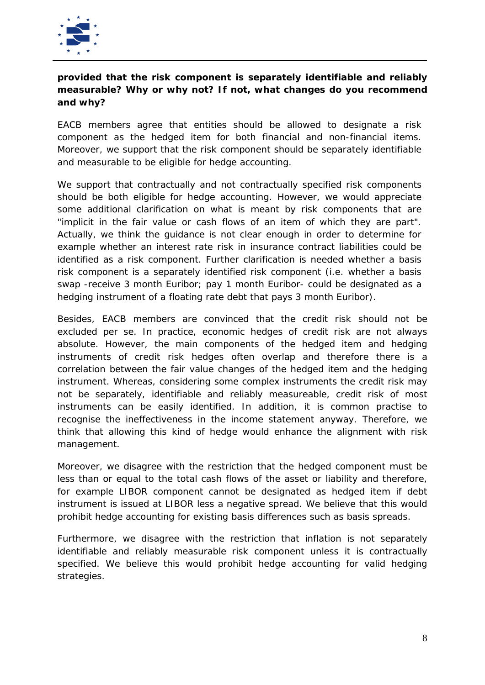

# **provided that the risk component is separately identifiable and reliably measurable? Why or why not? If not, what changes do you recommend and why?**

EACB members agree that entities should be allowed to designate a risk component as the hedged item for both financial and non-financial items. Moreover, we support that the risk component should be separately identifiable and measurable to be eligible for hedge accounting.

We support that contractually and not contractually specified risk components should be both eligible for hedge accounting. However, we would appreciate some additional clarification on what is meant by risk components that are "implicit in the fair value or cash flows of an item of which they are part". Actually, we think the guidance is not clear enough in order to determine for example whether an interest rate risk in insurance contract liabilities could be identified as a risk component. Further clarification is needed whether a basis risk component is a separately identified risk component (i.e. whether a basis swap -receive 3 month Euribor; pay 1 month Euribor- could be designated as a hedging instrument of a floating rate debt that pays 3 month Euribor).

Besides, EACB members are convinced that the credit risk should not be excluded per se. In practice, economic hedges of credit risk are not always absolute. However, the main components of the hedged item and hedging instruments of credit risk hedges often overlap and therefore there is a correlation between the fair value changes of the hedged item and the hedging instrument. Whereas, considering some complex instruments the credit risk may not be separately, identifiable and reliably measureable, credit risk of most instruments can be easily identified. In addition, it is common practise to recognise the ineffectiveness in the income statement anyway. Therefore, we think that allowing this kind of hedge would enhance the alignment with risk management.

Moreover, we disagree with the restriction that the hedged component must be less than or equal to the total cash flows of the asset or liability and therefore, for example LIBOR component cannot be designated as hedged item if debt instrument is issued at LIBOR less a negative spread. We believe that this would prohibit hedge accounting for existing basis differences such as basis spreads.

Furthermore, we disagree with the restriction that inflation is not separately identifiable and reliably measurable risk component unless it is contractually specified. We believe this would prohibit hedge accounting for valid hedging strategies.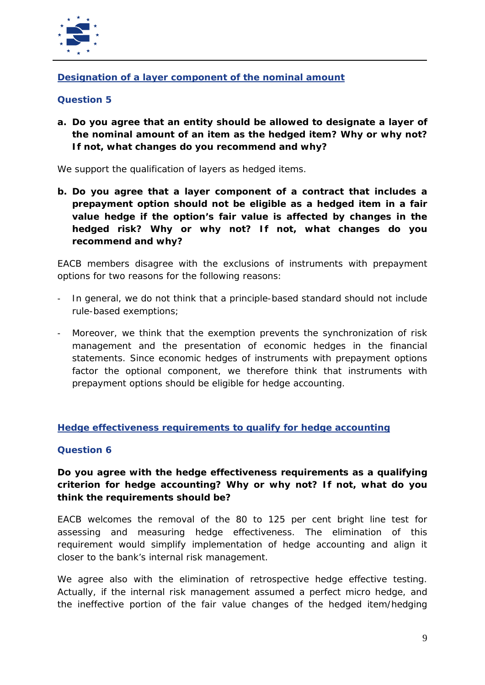

## **Designation of a layer component of the nominal amount**

## **Question 5**

**a. Do you agree that an entity should be allowed to designate a layer of the nominal amount of an item as the hedged item? Why or why not? If not, what changes do you recommend and why?**

We support the qualification of layers as hedged items.

**b. Do you agree that a layer component of a contract that includes a prepayment option should not be eligible as a hedged item in a fair value hedge if the option's fair value is affected by changes in the hedged risk? Why or why not? If not, what changes do you recommend and why?**

EACB members disagree with the exclusions of instruments with prepayment options for two reasons for the following reasons:

- In general, we do not think that a principle-based standard should not include rule-based exemptions;
- Moreover, we think that the exemption prevents the synchronization of risk management and the presentation of economic hedges in the financial statements. Since economic hedges of instruments with prepayment options factor the optional component, we therefore think that instruments with prepayment options should be eligible for hedge accounting.

### **Hedge effectiveness requirements to qualify for hedge accounting**

### **Question 6**

# **Do you agree with the hedge effectiveness requirements as a qualifying criterion for hedge accounting? Why or why not? If not, what do you think the requirements should be?**

EACB welcomes the removal of the 80 to 125 per cent bright line test for assessing and measuring hedge effectiveness. The elimination of this requirement would simplify implementation of hedge accounting and align it closer to the bank's internal risk management.

We agree also with the elimination of retrospective hedge effective testing. Actually, if the internal risk management assumed a perfect micro hedge, and the ineffective portion of the fair value changes of the hedged item/hedging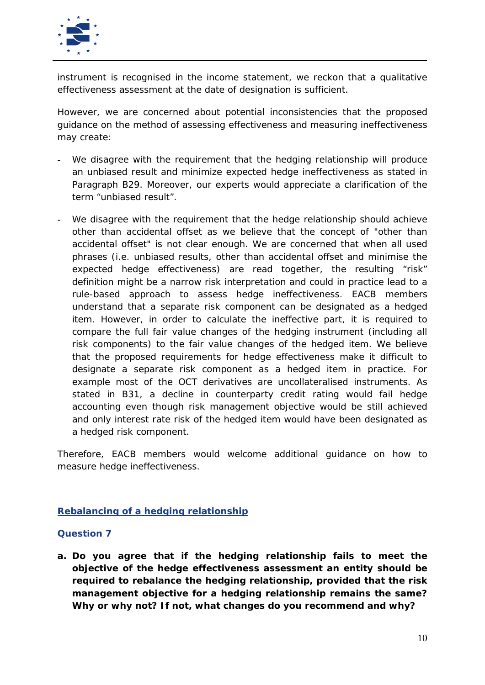

instrument is recognised in the income statement, we reckon that a qualitative effectiveness assessment at the date of designation is sufficient.

However, we are concerned about potential inconsistencies that the proposed guidance on the method of assessing effectiveness and measuring ineffectiveness may create:

- We disagree with the requirement that the hedging relationship will produce an unbiased result and minimize expected hedge ineffectiveness as stated in Paragraph B29. Moreover, our experts would appreciate a clarification of the term "unbiased result".
- We disagree with the requirement that the hedge relationship should achieve other than accidental offset as we believe that the concept of "other than accidental offset" is not clear enough. We are concerned that when all used phrases (i.e. unbiased results, other than accidental offset and minimise the expected hedge effectiveness) are read together, the resulting "risk" definition might be a narrow risk interpretation and could in practice lead to a rule-based approach to assess hedge ineffectiveness. EACB members understand that a separate risk component can be designated as a hedged item. However, in order to calculate the ineffective part, it is required to compare the full fair value changes of the hedging instrument (including all risk components) to the fair value changes of the hedged item. We believe that the proposed requirements for hedge effectiveness make it difficult to designate a separate risk component as a hedged item in practice. For example most of the OCT derivatives are uncollateralised instruments. As stated in B31, a decline in counterparty credit rating would fail hedge accounting even though risk management objective would be still achieved and only interest rate risk of the hedged item would have been designated as a hedged risk component.

Therefore, EACB members would welcome additional guidance on how to measure hedge ineffectiveness.

### **Rebalancing of a hedging relationship**

### **Question 7**

**a. Do you agree that if the hedging relationship fails to meet the objective of the hedge effectiveness assessment an entity should be required to rebalance the hedging relationship, provided that the risk management objective for a hedging relationship remains the same? Why or why not? If not, what changes do you recommend and why?**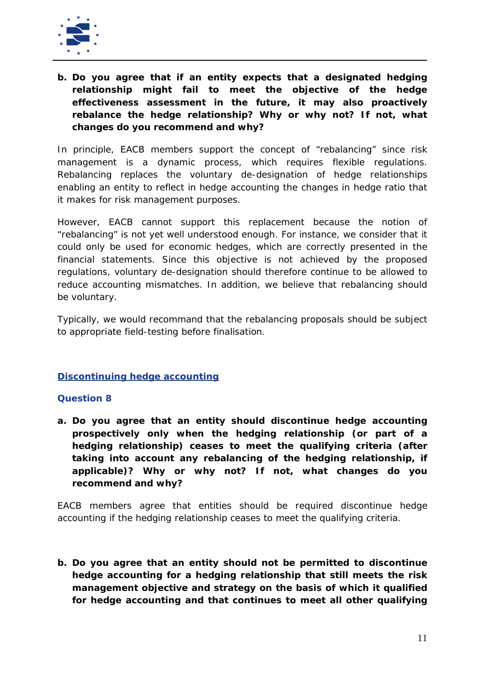

**b. Do you agree that if an entity expects that a designated hedging relationship might fail to meet the objective of the hedge effectiveness assessment in the future, it may also proactively rebalance the hedge relationship? Why or why not? If not, what changes do you recommend and why?**

In principle, EACB members support the concept of "rebalancing" since risk management is a dynamic process, which requires flexible regulations. Rebalancing replaces the voluntary de-designation of hedge relationships enabling an entity to reflect in hedge accounting the changes in hedge ratio that it makes for risk management purposes.

However, EACB cannot support this replacement because the notion of "rebalancing" is not yet well understood enough. For instance, we consider that it could only be used for economic hedges, which are correctly presented in the financial statements. Since this objective is not achieved by the proposed regulations, voluntary de-designation should therefore continue to be allowed to reduce accounting mismatches. In addition, we believe that rebalancing should be voluntary.

Typically, we would recommand that the rebalancing proposals should be subject to appropriate field-testing before finalisation.

### **Discontinuing hedge accounting**

### **Question 8**

**a. Do you agree that an entity should discontinue hedge accounting prospectively only when the hedging relationship (or part of a hedging relationship) ceases to meet the qualifying criteria (after taking into account any rebalancing of the hedging relationship, if applicable)? Why or why not? If not, what changes do you recommend and why?**

EACB members agree that entities should be required discontinue hedge accounting if the hedging relationship ceases to meet the qualifying criteria.

**b. Do you agree that an entity should not be permitted to discontinue hedge accounting for a hedging relationship that still meets the risk management objective and strategy on the basis of which it qualified for hedge accounting and that continues to meet all other qualifying**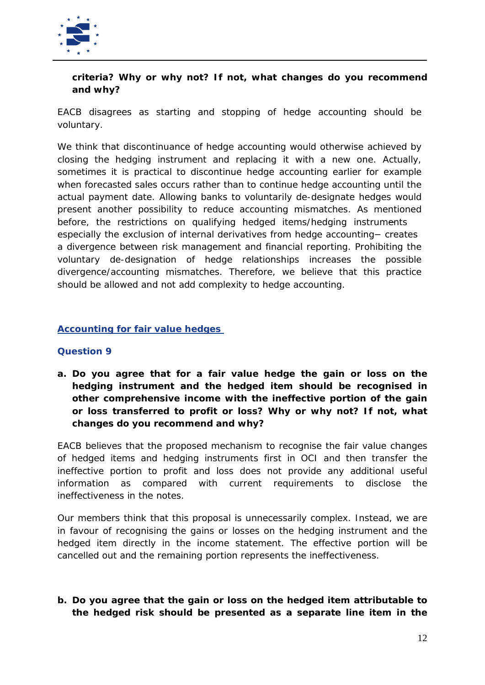

## **criteria? Why or why not? If not, what changes do you recommend and why?**

EACB disagrees as starting and stopping of hedge accounting should be voluntary.

We think that discontinuance of hedge accounting would otherwise achieved by closing the hedging instrument and replacing it with a new one. Actually, sometimes it is practical to discontinue hedge accounting earlier for example when forecasted sales occurs rather than to continue hedge accounting until the actual payment date. Allowing banks to voluntarily de-designate hedges would present another possibility to reduce accounting mismatches. As mentioned before, the restrictions on qualifying hedged items/hedging instruments especially the exclusion of internal derivatives from hedge accounting – creates a divergence between risk management and financial reporting. Prohibiting the voluntary de-designation of hedge relationships increases the possible divergence/accounting mismatches. Therefore, we believe that this practice should be allowed and not add complexity to hedge accounting.

## **Accounting for fair value hedges**

### **Question 9**

**a. Do you agree that for a fair value hedge the gain or loss on the hedging instrument and the hedged item should be recognised in other comprehensive income with the ineffective portion of the gain or loss transferred to profit or loss? Why or why not? If not, what changes do you recommend and why?**

EACB believes that the proposed mechanism to recognise the fair value changes of hedged items and hedging instruments first in OCI and then transfer the ineffective portion to profit and loss does not provide any additional useful information as compared with current requirements to disclose the ineffectiveness in the notes.

Our members think that this proposal is unnecessarily complex. Instead, we are in favour of recognising the gains or losses on the hedging instrument and the hedged item directly in the income statement. The effective portion will be cancelled out and the remaining portion represents the ineffectiveness.

# **b. Do you agree that the gain or loss on the hedged item attributable to the hedged risk should be presented as a separate line item in the**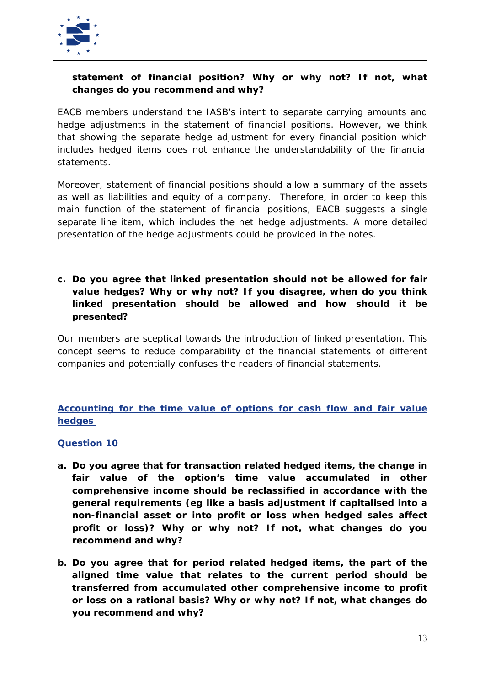

# **statement of financial position? Why or why not? If not, what changes do you recommend and why?**

EACB members understand the IASB's intent to separate carrying amounts and hedge adjustments in the statement of financial positions. However, we think that showing the separate hedge adjustment for every financial position which includes hedged items does not enhance the understandability of the financial statements.

Moreover, statement of financial positions should allow a summary of the assets as well as liabilities and equity of a company. Therefore, in order to keep this main function of the statement of financial positions, EACB suggests a single separate line item, which includes the net hedge adjustments. A more detailed presentation of the hedge adjustments could be provided in the notes.

**c. Do you agree that linked presentation should not be allowed for fair value hedges? Why or why not? If you disagree, when do you think linked presentation should be allowed and how should it be presented?**

Our members are sceptical towards the introduction of linked presentation. This concept seems to reduce comparability of the financial statements of different companies and potentially confuses the readers of financial statements.

**Accounting for the time value of options for cash flow and fair value hedges** 

### **Question 10**

- **a. Do you agree that for transaction related hedged items, the change in fair value of the option's time value accumulated in other comprehensive income should be reclassified in accordance with the general requirements (eg like a basis adjustment if capitalised into a non-financial asset or into profit or loss when hedged sales affect profit or loss)? Why or why not? If not, what changes do you recommend and why?**
- **b. Do you agree that for period related hedged items, the part of the aligned time value that relates to the current period should be transferred from accumulated other comprehensive income to profit or loss on a rational basis? Why or why not? If not, what changes do you recommend and why?**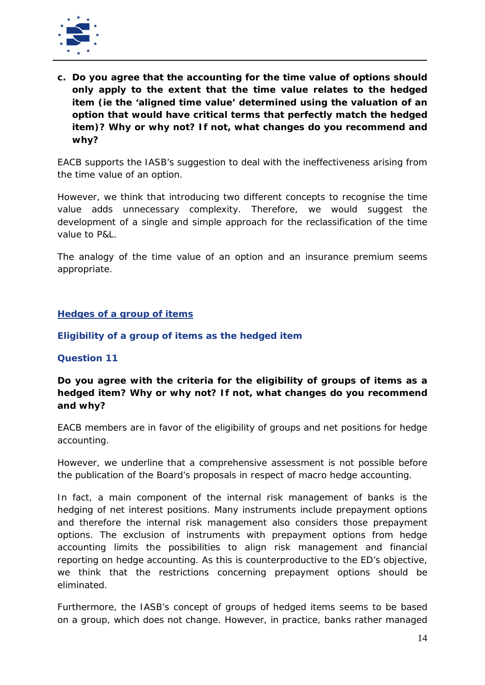

**c. Do you agree that the accounting for the time value of options should only apply to the extent that the time value relates to the hedged item (ie the 'aligned time value' determined using the valuation of an option that would have critical terms that perfectly match the hedged item)? Why or why not? If not, what changes do you recommend and why?**

EACB supports the IASB's suggestion to deal with the ineffectiveness arising from the time value of an option.

However, we think that introducing two different concepts to recognise the time value adds unnecessary complexity. Therefore, we would suggest the development of a single and simple approach for the reclassification of the time value to P&L.

The analogy of the time value of an option and an insurance premium seems appropriate.

#### **Hedges of a group of items**

#### *Eligibility of a group of items as the hedged item*

#### **Question 11**

**Do you agree with the criteria for the eligibility of groups of items as a hedged item? Why or why not? If not, what changes do you recommend and why?**

EACB members are in favor of the eligibility of groups and net positions for hedge accounting.

However, we underline that a comprehensive assessment is not possible before the publication of the Board's proposals in respect of macro hedge accounting.

In fact, a main component of the internal risk management of banks is the hedging of net interest positions. Many instruments include prepayment options and therefore the internal risk management also considers those prepayment options. The exclusion of instruments with prepayment options from hedge accounting limits the possibilities to align risk management and financial reporting on hedge accounting. As this is counterproductive to the ED's objective, we think that the restrictions concerning prepayment options should be eliminated.

Furthermore, the IASB's concept of groups of hedged items seems to be based on a group, which does not change. However, in practice, banks rather managed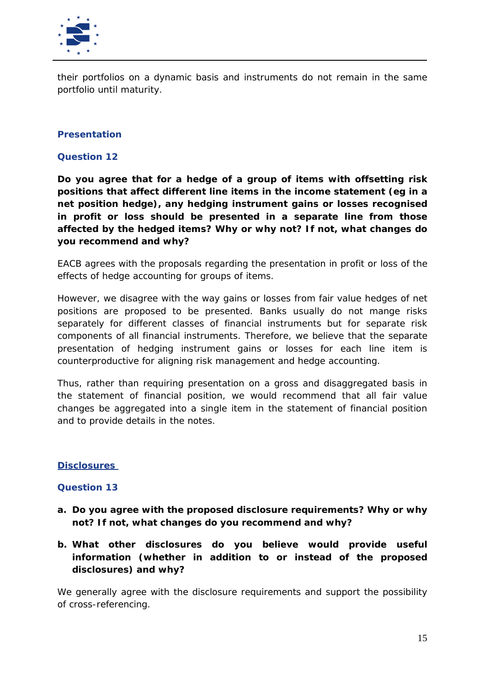

their portfolios on a dynamic basis and instruments do not remain in the same portfolio until maturity.

### *Presentation*

#### **Question 12**

**Do you agree that for a hedge of a group of items with offsetting risk positions that affect different line items in the income statement (eg in a net position hedge), any hedging instrument gains or losses recognised in profit or loss should be presented in a separate line from those affected by the hedged items? Why or why not? If not, what changes do you recommend and why?**

EACB agrees with the proposals regarding the presentation in profit or loss of the effects of hedge accounting for groups of items.

However, we disagree with the way gains or losses from fair value hedges of net positions are proposed to be presented. Banks usually do not mange risks separately for different classes of financial instruments but for separate risk components of all financial instruments. Therefore, we believe that the separate presentation of hedging instrument gains or losses for each line item is counterproductive for aligning risk management and hedge accounting.

Thus, rather than requiring presentation on a gross and disaggregated basis in the statement of financial position, we would recommend that all fair value changes be aggregated into a single item in the statement of financial position and to provide details in the notes.

#### **Disclosures**

### **Question 13**

- **a. Do you agree with the proposed disclosure requirements? Why or why not? If not, what changes do you recommend and why?**
- **b. What other disclosures do you believe would provide useful information (whether in addition to or instead of the proposed disclosures) and why?**

We generally agree with the disclosure requirements and support the possibility of cross-referencing.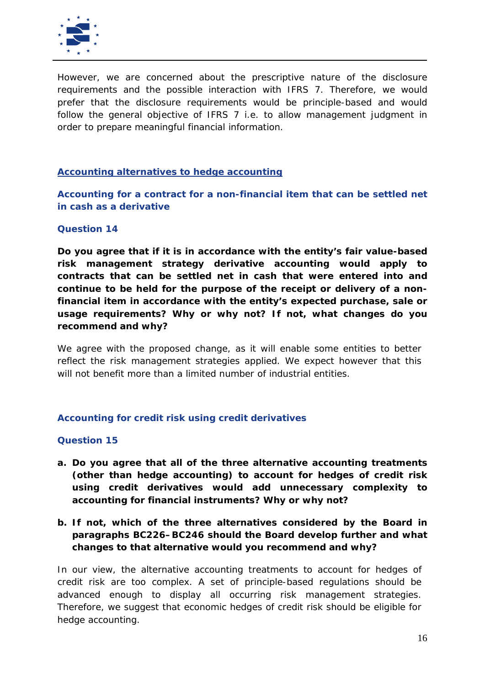

However, we are concerned about the prescriptive nature of the disclosure requirements and the possible interaction with IFRS 7. Therefore, we would prefer that the disclosure requirements would be principle-based and would follow the general objective of IFRS 7 i.e. to allow management judgment in order to prepare meaningful financial information.

#### **Accounting alternatives to hedge accounting**

*Accounting for a contract for a non-financial item that can be settled net in cash as a derivative*

#### **Question 14**

**Do you agree that if it is in accordance with the entity's fair value-based risk management strategy derivative accounting would apply to contracts that can be settled net in cash that were entered into and continue to be held for the purpose of the receipt or delivery of a nonfinancial item in accordance with the entity's expected purchase, sale or usage requirements? Why or why not? If not, what changes do you recommend and why?**

We agree with the proposed change, as it will enable some entities to better reflect the risk management strategies applied. We expect however that this will not benefit more than a limited number of industrial entities.

### *Accounting for credit risk using credit derivatives*

#### **Question 15**

- **a. Do you agree that all of the three alternative accounting treatments (other than hedge accounting) to account for hedges of credit risk using credit derivatives would add unnecessary complexity to accounting for financial instruments? Why or why not?**
- **b. If not, which of the three alternatives considered by the Board in paragraphs BC226–BC246 should the Board develop further and what changes to that alternative would you recommend and why?**

In our view, the alternative accounting treatments to account for hedges of credit risk are too complex. A set of principle-based regulations should be advanced enough to display all occurring risk management strategies. Therefore, we suggest that economic hedges of credit risk should be eligible for hedge accounting.